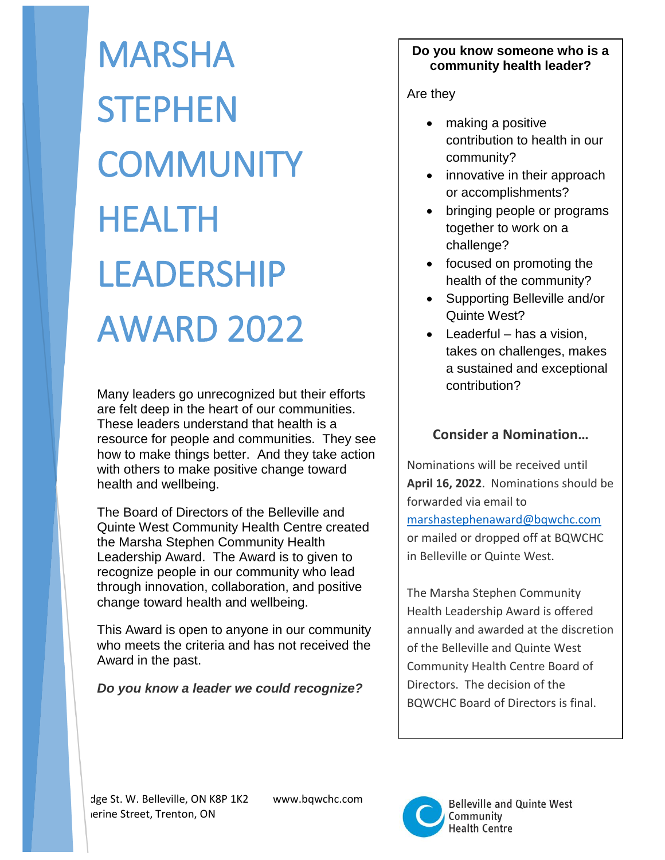MARSHA **STEPHEN COMMUNITY** HEALTH LEADERSHIP AWARD 2022

Many leaders go unrecognized but their efforts are felt deep in the heart of our communities. These leaders understand that health is a resource for people and communities. They see how to make things better. And they take action with others to make positive change toward health and wellbeing.

The Board of Directors of the Belleville and Quinte West Community Health Centre created the Marsha Stephen Community Health Leadership Award. The Award is to given to recognize people in our community who lead through innovation, collaboration, and positive change toward health and wellbeing.

This Award is open to anyone in our community who meets the criteria and has not received the Award in the past.

*Do you know a leader we could recognize?*

## **Do you know someone who is a community health leader?**

Are they

- making a positive contribution to health in our community?
- innovative in their approach or accomplishments?
- bringing people or programs together to work on a challenge?
- focused on promoting the health of the community?
- Supporting Belleville and/or Quinte West?
- Leaderful has a vision, takes on challenges, makes a sustained and exceptional contribution?

## **Consider a Nomination…**

Nominations will be received until **April 16, 2022**. Nominations should be forwarded via email to [marshastephenaward@bqwchc.com](mailto:marshastephenaward@bqwchc.com) or mailed or dropped off at BQWCHC in Belleville or Quinte West.

The Marsha Stephen Community Health Leadership Award is offered annually and awarded at the discretion of the Belleville and Quinte West Community Health Centre Board of Directors. The decision of the BQWCHC Board of Directors is final.